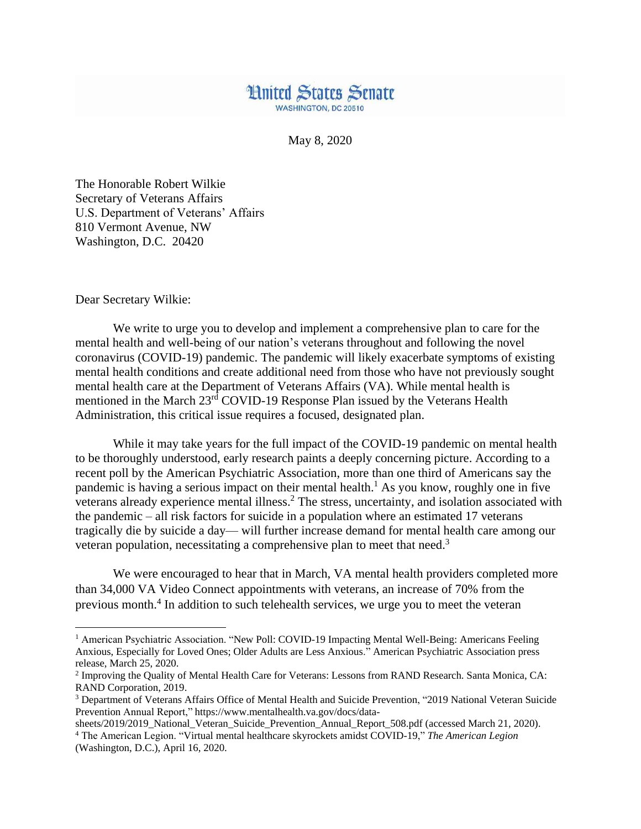## **Hnited States Senate WASHINGTON, DC 20510**

May 8, 2020

The Honorable Robert Wilkie Secretary of Veterans Affairs U.S. Department of Veterans' Affairs 810 Vermont Avenue, NW Washington, D.C. 20420

Dear Secretary Wilkie:

 $\overline{\phantom{a}}$ 

We write to urge you to develop and implement a comprehensive plan to care for the mental health and well-being of our nation's veterans throughout and following the novel coronavirus (COVID-19) pandemic. The pandemic will likely exacerbate symptoms of existing mental health conditions and create additional need from those who have not previously sought mental health care at the Department of Veterans Affairs (VA). While mental health is mentioned in the March 23rd COVID-19 Response Plan issued by the Veterans Health Administration, this critical issue requires a focused, designated plan.

While it may take years for the full impact of the COVID-19 pandemic on mental health to be thoroughly understood, early research paints a deeply concerning picture. According to a recent poll by the American Psychiatric Association, more than one third of Americans say the pandemic is having a serious impact on their mental health.<sup>1</sup> As you know, roughly one in five veterans already experience mental illness.<sup>2</sup> The stress, uncertainty, and isolation associated with the pandemic – all risk factors for suicide in a population where an estimated 17 veterans tragically die by suicide a day— will further increase demand for mental health care among our veteran population, necessitating a comprehensive plan to meet that need.<sup>3</sup>

We were encouraged to hear that in March, VA mental health providers completed more than 34,000 VA Video Connect appointments with veterans, an increase of 70% from the previous month. 4 In addition to such telehealth services, we urge you to meet the veteran

<sup>&</sup>lt;sup>1</sup> American Psychiatric Association. "New Poll: COVID-19 Impacting Mental Well-Being: Americans Feeling Anxious, Especially for Loved Ones; Older Adults are Less Anxious." American Psychiatric Association press release, March 25, 2020.

<sup>&</sup>lt;sup>2</sup> Improving the Quality of Mental Health Care for Veterans: Lessons from RAND Research. Santa Monica, CA: RAND Corporation, 2019.

<sup>3</sup> Department of Veterans Affairs Office of Mental Health and Suicide Prevention, "2019 National Veteran Suicide Prevention Annual Report," https://www.mentalhealth.va.gov/docs/data-

sheets/2019/2019\_National\_Veteran\_Suicide\_Prevention\_Annual\_Report\_508.pdf (accessed March 21, 2020). <sup>4</sup> The American Legion. "Virtual mental healthcare skyrockets amidst COVID-19," *The American Legion* (Washington, D.C.), April 16, 2020.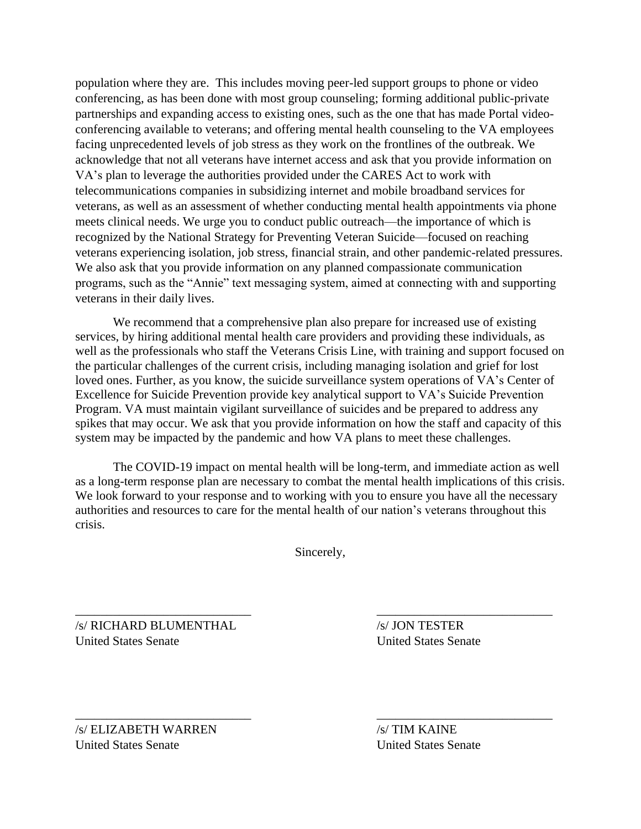population where they are. This includes moving peer-led support groups to phone or video conferencing, as has been done with most group counseling; forming additional public-private partnerships and expanding access to existing ones, such as the one that has made Portal videoconferencing available to veterans; and offering mental health counseling to the VA employees facing unprecedented levels of job stress as they work on the frontlines of the outbreak. We acknowledge that not all veterans have internet access and ask that you provide information on VA's plan to leverage the authorities provided under the CARES Act to work with telecommunications companies in subsidizing internet and mobile broadband services for veterans, as well as an assessment of whether conducting mental health appointments via phone meets clinical needs. We urge you to conduct public outreach—the importance of which is recognized by the National Strategy for Preventing Veteran Suicide—focused on reaching veterans experiencing isolation, job stress, financial strain, and other pandemic-related pressures. We also ask that you provide information on any planned compassionate communication programs, such as the "Annie" text messaging system, aimed at connecting with and supporting veterans in their daily lives.

We recommend that a comprehensive plan also prepare for increased use of existing services, by hiring additional mental health care providers and providing these individuals, as well as the professionals who staff the Veterans Crisis Line, with training and support focused on the particular challenges of the current crisis, including managing isolation and grief for lost loved ones. Further, as you know, the suicide surveillance system operations of VA's Center of Excellence for Suicide Prevention provide key analytical support to VA's Suicide Prevention Program. VA must maintain vigilant surveillance of suicides and be prepared to address any spikes that may occur. We ask that you provide information on how the staff and capacity of this system may be impacted by the pandemic and how VA plans to meet these challenges.

The COVID-19 impact on mental health will be long-term, and immediate action as well as a long-term response plan are necessary to combat the mental health implications of this crisis. We look forward to your response and to working with you to ensure you have all the necessary authorities and resources to care for the mental health of our nation's veterans throughout this crisis.

Sincerely,

\_\_\_\_\_\_\_\_\_\_\_\_\_\_\_\_\_\_\_\_\_\_\_\_\_\_\_\_ \_\_\_\_\_\_\_\_\_\_\_\_\_\_\_\_\_\_\_\_\_\_\_\_\_\_\_\_

\_\_\_\_\_\_\_\_\_\_\_\_\_\_\_\_\_\_\_\_\_\_\_\_\_\_\_\_ \_\_\_\_\_\_\_\_\_\_\_\_\_\_\_\_\_\_\_\_\_\_\_\_\_\_\_\_

/s/ RICHARD BLUMENTHAL /s/ JON TESTER United States Senate United States Senate

/s/ ELIZABETH WARREN /s/ TIM KAINE United States Senate United States Senate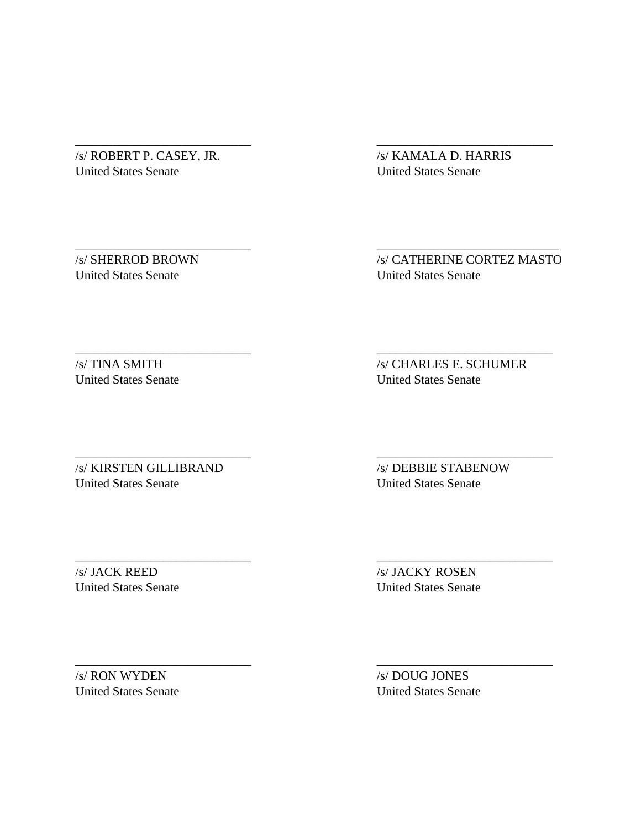/s/ ROBERT P. CASEY, JR. /s/ KAMALA D. HARRIS United States Senate United States Senate

\_\_\_\_\_\_\_\_\_\_\_\_\_\_\_\_\_\_\_\_\_\_\_\_\_\_\_\_ \_\_\_\_\_\_\_\_\_\_\_\_\_\_\_\_\_\_\_\_\_\_\_\_\_\_\_\_

\_\_\_\_\_\_\_\_\_\_\_\_\_\_\_\_\_\_\_\_\_\_\_\_\_\_\_\_ \_\_\_\_\_\_\_\_\_\_\_\_\_\_\_\_\_\_\_\_\_\_\_\_\_\_\_\_\_

\_\_\_\_\_\_\_\_\_\_\_\_\_\_\_\_\_\_\_\_\_\_\_\_\_\_\_\_ \_\_\_\_\_\_\_\_\_\_\_\_\_\_\_\_\_\_\_\_\_\_\_\_\_\_\_\_

\_\_\_\_\_\_\_\_\_\_\_\_\_\_\_\_\_\_\_\_\_\_\_\_\_\_\_\_ \_\_\_\_\_\_\_\_\_\_\_\_\_\_\_\_\_\_\_\_\_\_\_\_\_\_\_\_

\_\_\_\_\_\_\_\_\_\_\_\_\_\_\_\_\_\_\_\_\_\_\_\_\_\_\_\_ \_\_\_\_\_\_\_\_\_\_\_\_\_\_\_\_\_\_\_\_\_\_\_\_\_\_\_\_

\_\_\_\_\_\_\_\_\_\_\_\_\_\_\_\_\_\_\_\_\_\_\_\_\_\_\_\_ \_\_\_\_\_\_\_\_\_\_\_\_\_\_\_\_\_\_\_\_\_\_\_\_\_\_\_\_

United States Senate United States Senate

/s/ SHERROD BROWN /s/ CATHERINE CORTEZ MASTO

/s/ TINA SMITH /s/ CHARLES E. SCHUMER United States Senate United States Senate

/s/ KIRSTEN GILLIBRAND /s/ DEBBIE STABENOW United States Senate United States Senate

/s/ JACK REED /s/ JACKY ROSEN

United States Senate United States Senate

/s/ RON WYDEN /s/ DOUG JONES

United States Senate United States Senate